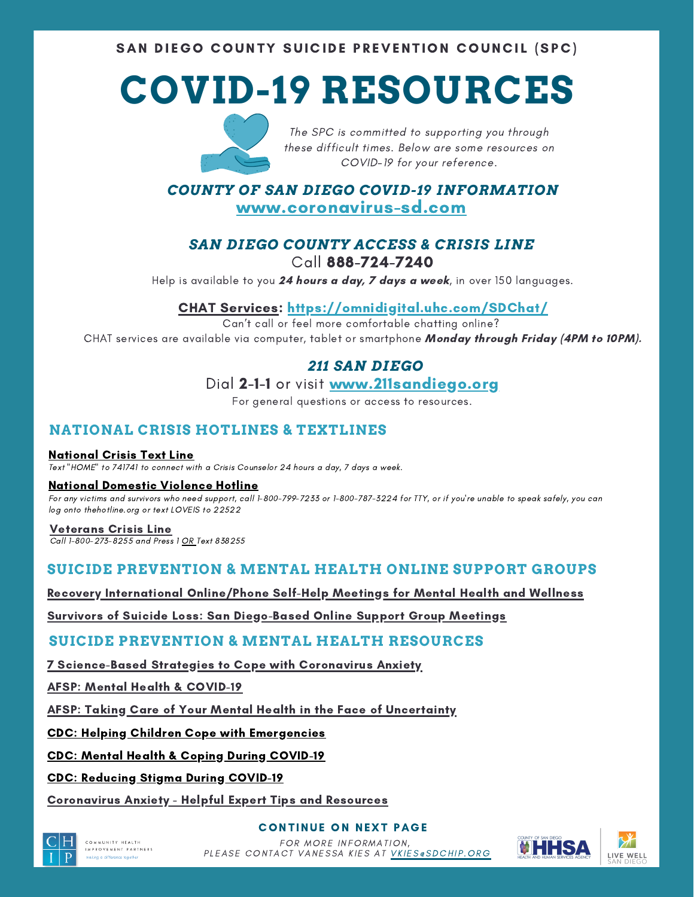SAN DIEGO COUNTY SUICIDE PREVENTION COUNCIL (SPC)

# **COVID-19 RESOURCES**



The SPC is committed to supporting you through these difficult times. Below are some resources on COVID-19 for your reference.

*COUNTY OF SAN DIEGO COVID-19 INFORMATION* [www.coronavirus-sd.com](http://www.coronavirus-sd.com/)

## *SAN DIEGO COUNTY ACCESS & CRISIS LINE* Call [88](http://www.coronavirus-sd.com/)8-724-7240

Help is available to you 24 hours a day, 7 days a week, in over 150 languages.

## CHAT [Services:](https://omnidigital.uhc.com/SDChat/) <https://omnidigital.uhc.com/SDChat/>

Can't call or feel more comfortable chatting online? CHAT services are available via computer, tablet or smartphone Monday through Friday (4PM to 10PM).

## *211 SAN DIEGO*

## Dial 2-1-1 or visit [www.211sandiego.org](http://www.211sandiego.org/)

For general questions or access to resources.

## **NATIONAL CRISIS HOTLINES & TEXTLINES**

#### [National](https://www.crisistextline.org/) Crisis Text Line

Text "HOME" to 741741 to connect with a Crisis Counselor 24 hours a day, 7 days a week.

#### National [Domestic](https://www.thehotline.org/) Violence Hotline

For any victims and survivors who need support, call 1-800-799-7233 or 1-800-787-3224 for TTY, or if you're unable to speak safely, you can log onto thehotline.org or text LOVEIS to 22522

#### [Veterans](https://www.veteranscrisisline.net/) Crisis Line

Call 1-800-273-8255 and Press 1 OR Text 838255

## **SUICIDE PREVENTION & MENTAL HEALTH ONLINE SUPPORT GROUPS**

### Recovery International [Online/Phone](https://recoveryinternational.org/) Self-Help Meetings for Mental Health and Wellness

Survivors of Suicide Loss: San [Diego-Based](https://www.soslsd.org/contact/) Online Support Group Meetings

### **SUICIDE PREVENTION & MENTAL HEALTH RESOURCES**

7 [Science-Based](https://theconversation.com/7-science-based-strategies-to-cope-with-coronavirus-anxiety-133207) Strategies to Cope with Coronavirus Anxiety

AFSP: Mental Health & [COVID-19](https://afsp.org/campaigns/covid-19/)

AFSP: Taking Care of Your Mental Health in the Face of [Uncertainty](https://afsp.org/taking-care-of-your-mental-health-in-the-face-of-uncertainty/?utm_source=All+Subscribers&utm_campaign=3b5166ea09-Research_Connection_July_COPY_01&utm_medium=email&utm_term=0_3fbf9113af-3b5166ea09-383524973)

#### CDC: Helping Children Cope with [Emergencies](https://www.cdc.gov/childrenindisasters/helping-children-cope.html)

### CDC: Mental Health & Coping During [COVID-19](https://www.cdc.gov/coronavirus/2019-ncov/prepare/managing-stress-anxiety.html)

CDC: Reducing Stigma During [COVID-19](https://www.cdc.gov/coronavirus/2019-ncov/symptoms-testing/reducing-stigma.html?CDC_AA_refVal=https%3A%2F%2Fwww.cdc.gov%2Fcoronavirus%2F2019-ncov%2Fabout%2Frelated-stigma.html)

[Coronavirus](https://adaa.org/finding-help/coronavirus-anxiety-helpful-resources) Anxiety - Helpful Expert Tips and Resources



COMMUNITY HEALTH MPROVEMENT PARTNERS **CONTINUE ON NEXT PAGE** 



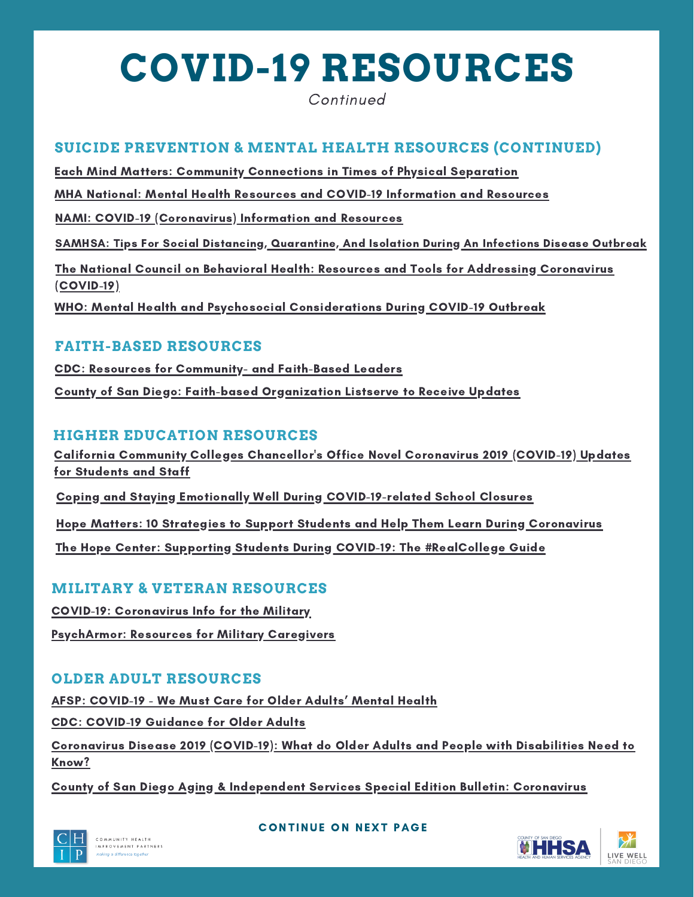# **COVID-19 RESOURCES**

Continued

## **SUICIDE PREVENTION & MENTAL HEALTH RESOURCES (CONTINUED)**

Each Mind Matters: Community [Connections](https://www.eachmindmatters.org/ask-the-expert/stayingconnected/) in Times of Physical Separation

MHA National: Mental Health Resources and COVID-19 [Information](https://mhanational.org/covid19) and Resources

NAMI: COVID-19 [\(Coronavirus\)](https://www.nami.org/getattachment/About-NAMI/NAMI-News/2020/NAMI-Updates-on-the-Coronavirus/COVID-19-Updated-Guide-1.pdf) Information and Resources

SAMHSA: Tips For Social Distancing, [Quarantine,](https://www.samhsa.gov/sites/default/files/tips-social-distancing-quarantine-isolation-031620.pdf) And Isolation During An Infections Disease Outbreak

The National Council on Behavioral Health: Resources and Tools for Addressing Coronavirus [\(COVID-19\)](https://www.thenationalcouncil.org/covid19/)

WHO: Mental Health and Psychosocial [Considerations](https://www.who.int/docs/default-source/coronaviruse/mental-health-considerations.pdf) During COVID-19 Outbreak

### **FAITH-BASED RESOURCES**

CDC: Resources for [Community-](https://www.cdc.gov/coronavirus/2019-ncov/community/organizations/index.html) and Faith-Based Leaders County of San Diego: Faith-based [Organization](https://app.smartsheet.com/b/form/afb9cef1f13b47f6b7eee67e3ba1774a) Listserve to Receive Updates

## **HIGHER EDUCATION RESOURCES**

California Community Colleges [Chancellor's](https://www.cccco.edu/About-Us/Chancellors-Office/Divisions/Communications-and-Marketing/Novel-Coronavirus) Office Novel Coronavirus 2019 (COVID-19) Updates for Students and Staff

Coping and Staying Emotionally Well During [COVID-19-related](https://www.activeminds.org/blog/coping-and-staying-emotionally-well-during-covid-19-related-school-closures/) School Closures

Hope Matters: 10 Strategies to Support Students and Help Them Learn During [Coronavirus](https://www.insidehighered.com/advice/2020/03/17/10-strategies-support-students-and-help-them-learn-during-coronavirus-crisis)

The Hope Center: Supporting Students During COVID-19: The [#RealCollege](https://hope4college.com/wp-content/uploads/2020/03/BTFP_SupportingStudentsDuringCOVID19_v2_Final.pdf) Guide

## **MILITARY & VETERAN RESOURCES**

COVID-19: [Coronavirus](https://www.militaryonesource.mil/coronavirus) Info for the Military

[PsychArmor:](https://content.govdelivery.com/attachments/CASAND/2020/03/19/file_attachments/1406166/PsychArmor%20RESOURCES-COVID-19.pdf) Resources for Military Caregivers

## **OLDER ADULT RESOURCES**

AFSP: [COVID-19](https://afsp.org/covid-19-we-must-care-for-older-adults-mental-health/) - We Must Care for Older Adults' Mental Health

CDC: COVID-19 [Guidance](https://www.cdc.gov/aging/covid19-guidance.html) for Older Adults

[Coronavirus](https://acl.gov/COVID-19) Disease 2019 (COVID-19): What do Older Adults and People with Disabilities Need to Know?

County of San Diego Aging & [Independent](https://www.sandiegocounty.gov/content/dam/sdc/hhsa/programs/ais/documents/Special%20Edition%202020-Coronavirus.pdf) Services Special Edition Bulletin: Coronavirus



#### **CONTINUE ON NEXT PAGE**